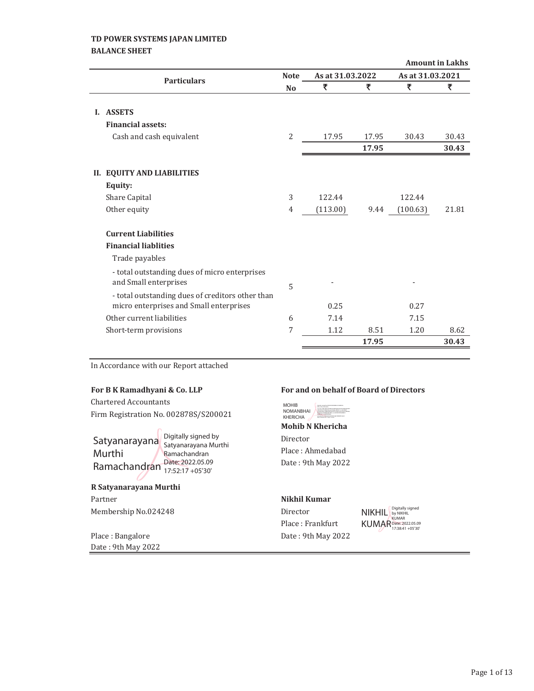## **TD POWER SYSTEMS JAPAN LIMITED BALANCE SHEET**

|    |                                                  |                |                  |       |                  | <b>Amount in Lakhs</b> |
|----|--------------------------------------------------|----------------|------------------|-------|------------------|------------------------|
|    | <b>Particulars</b>                               | <b>Note</b>    | As at 31.03.2022 |       | As at 31.03.2021 |                        |
|    |                                                  | N <sub>o</sub> | ₹                | ₹     | ₹                | ₹                      |
|    |                                                  |                |                  |       |                  |                        |
|    | <b>I. ASSETS</b>                                 |                |                  |       |                  |                        |
|    | <b>Financial assets:</b>                         |                |                  |       |                  |                        |
|    | Cash and cash equivalent                         | 2              | 17.95            | 17.95 | 30.43            | 30.43                  |
|    |                                                  |                |                  | 17.95 |                  | 30.43                  |
|    |                                                  |                |                  |       |                  |                        |
| Н. | <b>EQUITY AND LIABILITIES</b>                    |                |                  |       |                  |                        |
|    | Equity:                                          |                |                  |       |                  |                        |
|    | Share Capital                                    | 3              | 122.44           |       | 122.44           |                        |
|    | Other equity                                     | 4              | (113.00)         | 9.44  | (100.63)         | 21.81                  |
|    |                                                  |                |                  |       |                  |                        |
|    | <b>Current Liabilities</b>                       |                |                  |       |                  |                        |
|    | <b>Financial liablities</b>                      |                |                  |       |                  |                        |
|    | Trade payables                                   |                |                  |       |                  |                        |
|    | - total outstanding dues of micro enterprises    |                |                  |       |                  |                        |
|    | and Small enterprises                            |                |                  |       |                  |                        |
|    | - total outstanding dues of creditors other than | 5              |                  |       |                  |                        |
|    | micro enterprises and Small enterprises          |                | 0.25             |       | 0.27             |                        |
|    | Other current liabilities                        | 6              | 7.14             |       | 7.15             |                        |
|    | Short-term provisions                            | 7              | 1.12             | 8.51  | 1.20             | 8.62                   |
|    |                                                  |                |                  | 17.95 |                  | 30.43                  |
|    |                                                  |                |                  |       |                  |                        |

In Accordance with our Report attached

Chartered Accountants Firm Registration No. 002878S/S200021

Satyanarayana Digitally signed by Murthi Ramachandran  $\frac{\text{Date: } 2022.05.09}{17.52:17 + 05'30'}$ 

Satyanarayana Murthi Ramachandran 17:52:17 +05'30'

**R Satyanarayana Murthi** Partner **Nikhil Kumar** Membership No.024248 Director

Place: Bangalore Date: 9th May 2022 Date: 9th May 2022

#### **For B K Ramadhyani & Co. LLP For and on behalf of Board of Directors**



**Mohib N Khericha** Director Place: Ahmedabad Date: 9th May 2022

Place: Frankfurt

NIKHIL KUMAR Digitally signed by NIKHIL KUMAR Date: 2022.05.09 17:38:41 +05'30'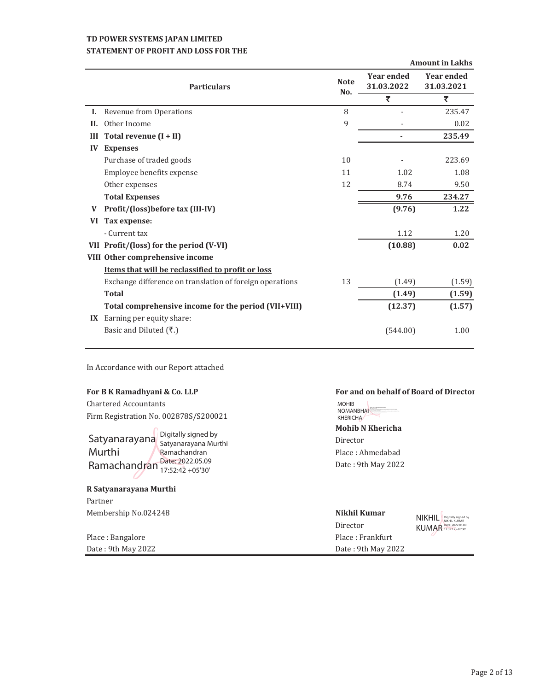## **TD POWER SYSTEMS JAPAN LIMITED STATEMENT OF PROFIT AND LOSS FOR THE**

|    |                                                          |                    |                                 | <b>Amount in Lakhs</b>          |
|----|----------------------------------------------------------|--------------------|---------------------------------|---------------------------------|
|    | <b>Particulars</b>                                       | <b>Note</b><br>No. | <b>Year ended</b><br>31.03.2022 | <b>Year ended</b><br>31.03.2021 |
|    |                                                          |                    | ₹                               | ₹                               |
| L. | Revenue from Operations                                  | 8                  |                                 | 235.47                          |
| H. | Other Income                                             | 9                  |                                 | 0.02                            |
| Ш  | Total revenue (I + II)                                   |                    |                                 | 235.49                          |
| IV | <b>Expenses</b>                                          |                    |                                 |                                 |
|    | Purchase of traded goods                                 | 10                 |                                 | 223.69                          |
|    | Employee benefits expense                                | 11                 | 1.02                            | 1.08                            |
|    | Other expenses                                           | 12                 | 8.74                            | 9.50                            |
|    | <b>Total Expenses</b>                                    |                    | 9.76                            | 234.27                          |
| V  | Profit/(loss)before tax (III-IV)                         |                    | (9.76)                          | 1.22                            |
| VI | Tax expense:                                             |                    |                                 |                                 |
|    | - Current tax                                            |                    | 1.12                            | 1.20                            |
|    | VII Profit/(loss) for the period (V-VI)                  |                    | (10.88)                         | 0.02                            |
|    | VIII Other comprehensive income                          |                    |                                 |                                 |
|    | Items that will be reclassified to profit or loss        |                    |                                 |                                 |
|    | Exchange difference on translation of foreign operations | 13                 | (1.49)                          | (1.59)                          |
|    | <b>Total</b>                                             |                    | (1.49)                          | (1.59)                          |
|    | Total comprehensive income for the period (VII+VIII)     |                    | (12.37)                         | (1.57)                          |
|    | IX Earning per equity share:                             |                    |                                 |                                 |
|    | Basic and Diluted (₹.)                                   |                    | (544.00)                        | 1.00                            |
|    |                                                          |                    |                                 |                                 |

In Accordance with our Report attached

Chartered Accountants Firm Registration No. 002878S/S200021

|                               | Digitally signed by<br>Satyanarayana Murthi |
|-------------------------------|---------------------------------------------|
| Satyanarayana                 |                                             |
| Murthi                        | Ramachandran                                |
| Ramachandran Date: 2022.05.09 |                                             |
|                               |                                             |
|                               |                                             |

## **R Satyanarayana Murthi** Partner

**Membership No.024248** 

Place: Bangalore Date: 9th May 2022

## **For B K Ramadhyani & Co. LLP For and on behalf of Board of Directors**

MOHIB NOMANBHAI

**Mohib N Khericha** Director Place: Ahmedabad Date: 9th May 2022 KHERICHA

| Nikhil Kumar       | NIKHII<br>Digitally signed by          |
|--------------------|----------------------------------------|
| Director           | NIKHIL KUMAR<br>KUMAR Date: 2022.05.09 |
| Place: Frankfurt   |                                        |
| Date: 9th May 2022 |                                        |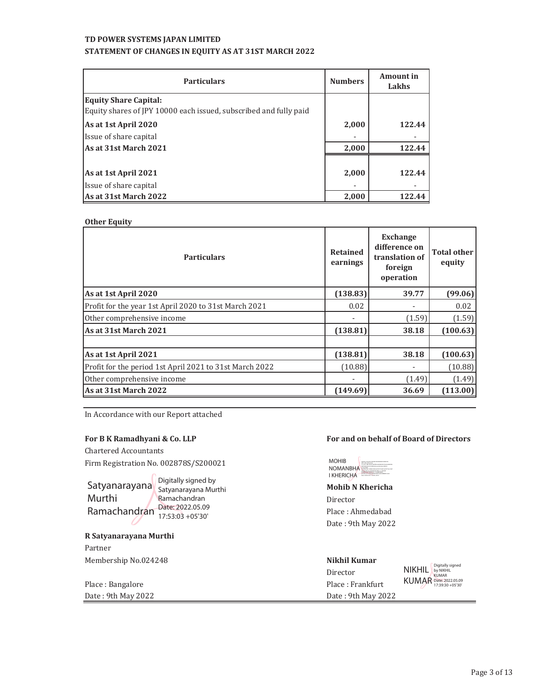## **TD POWER SYSTEMS JAPAN LIMITED STATEMENT OF CHANGES IN EQUITY AS AT 31ST MARCH 2022**

| <b>Particulars</b>                                                                                | <b>Numbers</b> | Amount in<br>Lakhs |
|---------------------------------------------------------------------------------------------------|----------------|--------------------|
| <b>Equity Share Capital:</b><br>Equity shares of JPY 10000 each issued, subscribed and fully paid |                |                    |
| As at 1st April 2020                                                                              | 2,000          | 122.44             |
| Issue of share capital                                                                            |                |                    |
| As at 31st March 2021                                                                             | 2,000          | 122.44             |
|                                                                                                   |                |                    |
| As at 1st April 2021                                                                              | 2,000          | 122.44             |
| Issue of share capital                                                                            |                |                    |
| As at 31st March 2022                                                                             | 2,000          | 122.44             |

**Other Equity**

| <b>Particulars</b>                                      | <b>Retained</b><br>earnings  | <b>Exchange</b><br>difference on<br>translation of<br>foreign<br>operation | <b>Total other</b><br>equity |
|---------------------------------------------------------|------------------------------|----------------------------------------------------------------------------|------------------------------|
| As at 1st April 2020                                    | (138.83)                     | 39.77                                                                      | (99.06)                      |
| Profit for the year 1st April 2020 to 31st March 2021   | 0.02                         |                                                                            | 0.02                         |
| Other comprehensive income                              |                              | (1.59)                                                                     | (1.59)                       |
| As at 31st March 2021                                   | (138.81)                     | 38.18                                                                      | (100.63)                     |
|                                                         |                              |                                                                            |                              |
| As at 1st April 2021                                    | (138.81)                     | 38.18                                                                      | (100.63)                     |
| Profit for the period 1st April 2021 to 31st March 2022 | (10.88)                      |                                                                            | (10.88)                      |
| Other comprehensive income                              | $\qquad \qquad \blacksquare$ | (1.49)                                                                     | (1.49)                       |
| As at 31st March 2022                                   | (149.69)                     | 36.69                                                                      | (113.00)                     |

In Accordance with our Report attached

Chartered Accountants Firm Registration No. 002878S/S200021

Satyanarayana Bigitally signed by Murthi Ramachandran Date: 2022.05.09 Satyanarayana Murthi Ramachandran 17:53:03 +05'30'

**R Satyanarayana Murthi**

Partner Membership!No.024248 **Nikhil Kumar**

| Place : Bangalore  | Place: Frankfurt   |
|--------------------|--------------------|
| Date: 9th May 2022 | Date: 9th May 2022 |

#### **For B K Ramadhyani & Co. LLP For and on behalf of Board of Directors**



**Mohib N Khericha** Director Place: Ahmedabad

Date: 9th May 2022

| Director           | <b>NIKHIL</b> | Digitally signed<br>by NIKHIL<br><b>KUMAR</b>     |
|--------------------|---------------|---------------------------------------------------|
| Place : Frankfurt  |               | <b>KUMAR Date: 2022.05.09</b><br>17:39:30 +05'30" |
| Date: 9th May 2022 |               |                                                   |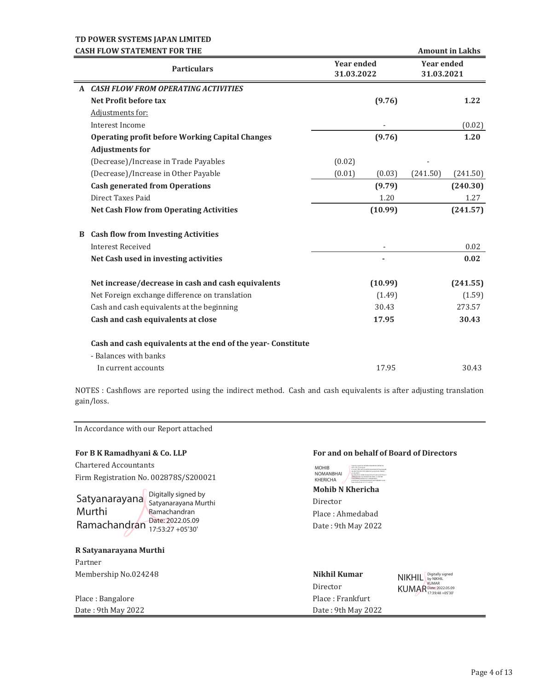|              | <b>CASH FLOW STATEMENT FOR THE</b>                           |                                 |         |                                 | <b>Amount in Lakhs</b> |
|--------------|--------------------------------------------------------------|---------------------------------|---------|---------------------------------|------------------------|
|              | <b>Particulars</b>                                           | <b>Year ended</b><br>31.03.2022 |         | <b>Year ended</b><br>31.03.2021 |                        |
| $\mathbf{A}$ | <b>CASH FLOW FROM OPERATING ACTIVITIES</b>                   |                                 |         |                                 |                        |
|              | Net Profit before tax                                        |                                 | (9.76)  |                                 | 1.22                   |
|              | Adjustments for:                                             |                                 |         |                                 |                        |
|              | Interest Income                                              |                                 |         |                                 | (0.02)                 |
|              | <b>Operating profit before Working Capital Changes</b>       |                                 | (9.76)  |                                 | 1.20                   |
|              | <b>Adjustments for</b>                                       |                                 |         |                                 |                        |
|              | (Decrease)/Increase in Trade Payables                        | (0.02)                          |         |                                 |                        |
|              | (Decrease)/Increase in Other Payable                         | (0.01)                          | (0.03)  | (241.50)                        | (241.50)               |
|              | <b>Cash generated from Operations</b>                        |                                 | (9.79)  |                                 | (240.30)               |
|              | Direct Taxes Paid                                            |                                 | 1.20    |                                 | 1.27                   |
|              | <b>Net Cash Flow from Operating Activities</b>               |                                 | (10.99) |                                 | (241.57)               |
| B            | <b>Cash flow from Investing Activities</b>                   |                                 |         |                                 |                        |
|              | <b>Interest Received</b>                                     |                                 |         |                                 | 0.02                   |
|              | Net Cash used in investing activities                        |                                 |         |                                 | 0.02                   |
|              | Net increase/decrease in cash and cash equivalents           |                                 | (10.99) |                                 | (241.55)               |
|              | Net Foreign exchange difference on translation               |                                 | (1.49)  |                                 | (1.59)                 |
|              | Cash and cash equivalents at the beginning                   |                                 | 30.43   |                                 | 273.57                 |
|              | Cash and cash equivalents at close                           |                                 | 17.95   |                                 | 30.43                  |
|              | Cash and cash equivalents at the end of the year- Constitute |                                 |         |                                 |                        |
|              | - Balances with banks                                        |                                 |         |                                 |                        |
|              | In current accounts                                          |                                 | 17.95   |                                 | 30.43                  |

NOTES : Cashflows are reported using the indirect method. Cash and cash equivalents is after adjusting translation gain/loss.

In Accordance with our Report attached

Chartered Accountants Firm Registration No. 002878S/S200021



Satyanarayana Murthi Ramachandran 17:53:27 +05'30'

#### **R Satyanarayana Murthi**

Partner **Membership No.024248** 

## Place: Bangalore Date: 9th May 2022

#### **For B K Ramadhyani & Co. LLP For and on behalf of Board of Directors**



**Mohib N Khericha** Director Place: Ahmedabad Date: 9th May 2022

| Nikhil Kumar       | NIKHIL Digitally signed                |
|--------------------|----------------------------------------|
| Director           | <b>KUMAR</b><br>KUMAR Date: 2022.05.09 |
| Place: Frankfurt   |                                        |
| Date: 9th May 2022 |                                        |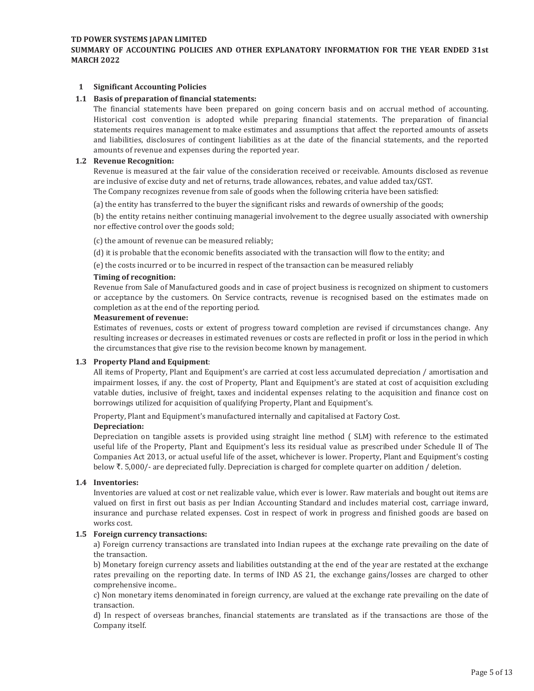#### **SUMMARY OF ACCOUNTING POLICIES AND OTHER EXPLANATORY INFORMATION FOR THE YEAR ENDED 31st MARCH 2022**

#### **1 Significant Accounting Policies**

#### **1.1 Basis of preparation of financial statements:**

The financial statements have been prepared on going concern basis and on accrual method of accounting. Historical cost convention is adopted while preparing financial statements. The preparation of financial statements requires management to make estimates and assumptions that affect the reported amounts of assets and liabilities, disclosures of contingent liabilities as at the date of the financial statements, and the reported amounts of revenue and expenses during the reported year.

#### **1.2 Revenue Recognition:**

Revenue is measured at the fair value of the consideration received or receivable. Amounts disclosed as revenue are inclusive of excise duty and net of returns, trade allowances, rebates, and value added tax/GST. The Company recognizes revenue from sale of goods when the following criteria have been satisfied:

(a) the entity has transferred to the buyer the significant risks and rewards of ownership of the goods;

(b) the entity retains neither continuing managerial involvement to the degree usually associated with ownership nor effective control over the goods sold;

(c) the amount of revenue can be measured reliably;

(d) it is probable that the economic benefits associated with the transaction will flow to the entity; and

(e) the costs incurred or to be incurred in respect of the transaction can be measured reliably

#### **Timing of recognition:**

Revenue from Sale of Manufactured goods and in case of project business is recognized on shipment to customers or acceptance by the customers. On Service contracts, revenue is recognised based on the estimates made on completion as at the end of the reporting period.

#### **Measurement of revenue:**

Estimates of revenues, costs or extent of progress toward completion are revised if circumstances change. Any resulting increases or decreases in estimated revenues or costs are reflected in profit or loss in the period in which the circumstances that give rise to the revision become known by management.

#### **1.3 Property Pland and Equipment**:

All items of Property, Plant and Equipment's are carried at cost less accumulated depreciation / amortisation and impairment losses, if any. the cost of Property, Plant and Equipment's are stated at cost of acquisition excluding vatable duties, inclusive of freight, taxes and incidental expenses relating to the acquisition and finance cost on borrowings utilized for acquisition of qualifying Property, Plant and Equipment's.

Property, Plant and Equipment's manufactured internally and capitalised at Factory Cost.

#### **Depreciation:**

Depreciation on tangible assets is provided using straight line method ( SLM) with reference to the estimated useful life of the Property, Plant and Equipment's less its residual value as prescribed under Schedule II of The Companies Act 2013, or actual useful life of the asset, whichever is lower. Property, Plant and Equipment's costing below  $\bar{\tau}$ . 5,000/- are depreciated fully. Depreciation is charged for complete quarter on addition / deletion.

#### **1.4 Inventories:**

Inventories are valued at cost or net realizable value, which ever is lower. Raw materials and bought out items are valued on first in first out basis as per Indian Accounting Standard and includes material cost, carriage inward, insurance and purchase related expenses. Cost in respect of work in progress and finished goods are based on works cost.

#### **1.5 Foreign currency transactions:**

a) Foreign currency transactions are translated into Indian rupees at the exchange rate prevailing on the date of the transaction.

b) Monetary foreign currency assets and liabilities outstanding at the end of the year are restated at the exchange rates prevailing on the reporting date. In terms of IND AS 21, the exchange gains/losses are charged to other comprehensive income..

c) Non monetary items denominated in foreign currency, are valued at the exchange rate prevailing on the date of transaction.

d) In respect of overseas branches, financial statements are translated as if the transactions are those of the Company itself.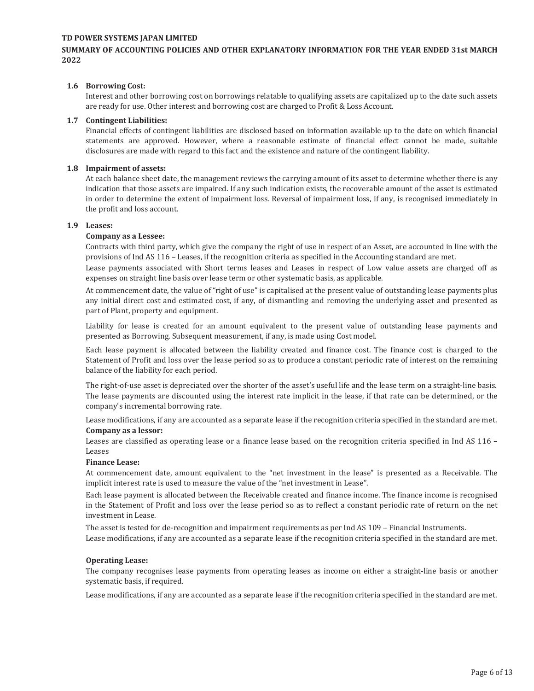#### **SUMMARY OF ACCOUNTING POLICIES AND OTHER EXPLANATORY INFORMATION FOR THE YEAR ENDED 31st MARCH 2022**

#### **1.6 Borrowing Cost:**

Interest and other borrowing cost on borrowings relatable to qualifying assets are capitalized up to the date such assets are ready for use. Other interest and borrowing cost are charged to Profit & Loss Account.

#### **1.7 Contingent Liabilities:**

Financial effects of contingent liabilities are disclosed based on information available up to the date on which financial statements are approved. However, where a reasonable estimate of financial effect cannot be made, suitable disclosures are made with regard to this fact and the existence and nature of the contingent liability.

#### **1.8 Impairment of assets:**

At each balance sheet date, the management reviews the carrying amount of its asset to determine whether there is any indication that those assets are impaired. If any such indication exists, the recoverable amount of the asset is estimated in order to determine the extent of impairment loss. Reversal of impairment loss, if any, is recognised immediately in the profit and loss account.

#### **1.9 Leases:**

#### **Company as a Lessee:**

Contracts with third party, which give the company the right of use in respect of an Asset, are accounted in line with the provisions of Ind AS 116 - Leases, if the recognition criteria as specified in the Accounting standard are met.

Lease payments associated with Short terms leases and Leases in respect of Low value assets are charged off as expenses on straight line basis over lease term or other systematic basis, as applicable.

At commencement date, the value of "right of use" is capitalised at the present value of outstanding lease payments plus any initial direct cost and estimated cost, if any, of dismantling and removing the underlying asset and presented as part of Plant, property and equipment.

Liability for lease is created for an amount equivalent to the present value of outstanding lease payments and presented as Borrowing. Subsequent measurement, if any, is made using Cost model.

Each lease payment is allocated between the liability created and finance cost. The finance cost is charged to the Statement of Profit and loss over the lease period so as to produce a constant periodic rate of interest on the remaining balance of the liability for each period.

The right-of-use asset is depreciated over the shorter of the asset's useful life and the lease term on a straight-line basis. The lease payments are discounted using the interest rate implicit in the lease, if that rate can be determined, or the company's incremental borrowing rate.

Lease modifications, if any are accounted as a separate lease if the recognition criteria specified in the standard are met. **Company as a lessor:**

Leases are classified as operating lease or a finance lease based on the recognition criteria specified in Ind AS  $116 -$ Leases

#### **Finance Lease:**

At commencement date, amount equivalent to the "net investment in the lease" is presented as a Receivable. The implicit interest rate is used to measure the value of the "net investment in Lease".

Each lease payment is allocated between the Receivable created and finance income. The finance income is recognised in the Statement of Profit and loss over the lease period so as to reflect a constant periodic rate of return on the net investment in Lease.

The asset is tested for de-recognition and impairment requirements as per Ind AS 109 - Financial Instruments. Lease modifications, if any are accounted as a separate lease if the recognition criteria specified in the standard are met.

#### **Operating Lease:**

The company recognises lease payments from operating leases as income on either a straight-line basis or another systematic basis, if required.

Lease modifications, if any are accounted as a separate lease if the recognition criteria specified in the standard are met.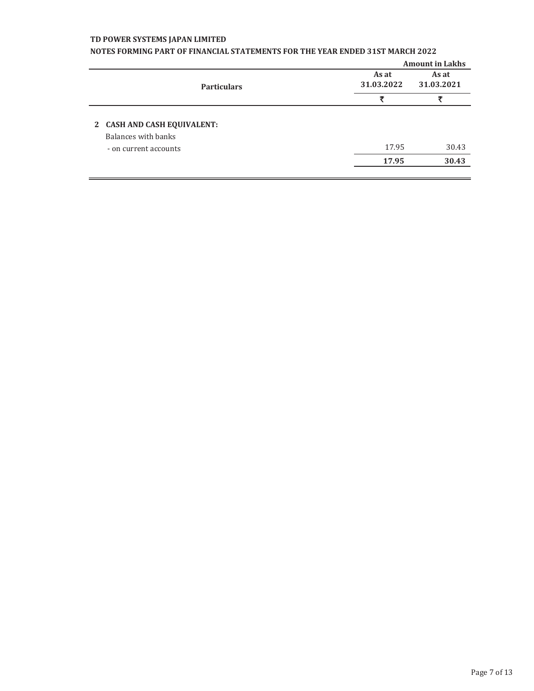|                                                                             |                     | <b>Amount in Lakhs</b> |
|-----------------------------------------------------------------------------|---------------------|------------------------|
| <b>Particulars</b>                                                          | As at<br>31,03,2022 | As at<br>31.03.2021    |
|                                                                             | Ŧ                   | 罗                      |
| 2 CASH AND CASH EQUIVALENT:<br>Balances with banks<br>- on current accounts | 17.95<br>17.95      | 30.43<br>30.43         |

### **NOTES FORMING PART OF FINANCIAL STATEMENTS FOR THE YEAR ENDED 31ST MARCH 2022**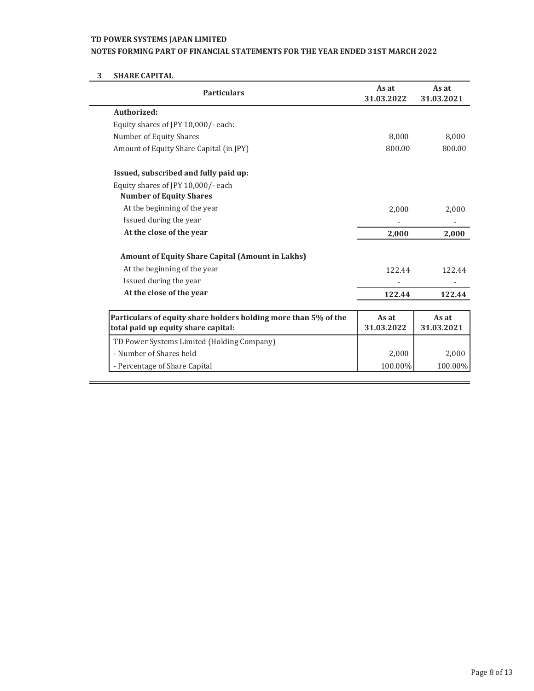### **NOTES FORMING PART OF FINANCIAL STATEMENTS FOR THE YEAR ENDED 31ST MARCH 2022**

# **3 SHARE CAPITAL**

| <b>Particulars</b>                                                                                     | As at<br>31.03.2022 | As at<br>31.03.2021 |
|--------------------------------------------------------------------------------------------------------|---------------------|---------------------|
| Authorized:                                                                                            |                     |                     |
| Equity shares of JPY 10,000/- each:                                                                    |                     |                     |
| Number of Equity Shares                                                                                | 8,000               | 8,000               |
| Amount of Equity Share Capital (in JPY)                                                                | 800.00              | 800.00              |
| Issued, subscribed and fully paid up:                                                                  |                     |                     |
| Equity shares of JPY 10,000/- each                                                                     |                     |                     |
| <b>Number of Equity Shares</b>                                                                         |                     |                     |
| At the beginning of the year                                                                           | 2,000               | 2,000               |
| Issued during the year                                                                                 |                     |                     |
| At the close of the year                                                                               | 2,000               | 2,000               |
| <b>Amount of Equity Share Capital (Amount in Lakhs)</b>                                                |                     |                     |
| At the beginning of the year                                                                           | 122.44              | 122.44              |
| Issued during the year                                                                                 |                     |                     |
| At the close of the year                                                                               | 122.44              | 122.44              |
|                                                                                                        |                     |                     |
| Particulars of equity share holders holding more than 5% of the<br>total paid up equity share capital: | As at<br>31.03.2022 | As at<br>31.03.2021 |
| TD Power Systems Limited (Holding Company)                                                             |                     |                     |
| - Number of Shares held                                                                                | 2,000               | 2,000               |
| - Percentage of Share Capital                                                                          | 100.00%             | 100.00%             |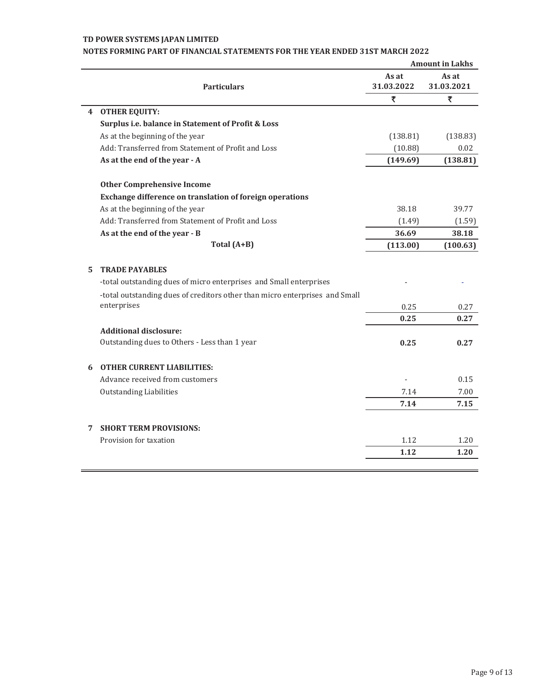|    |                                                                             |                     | <b>Amount in Lakhs</b> |
|----|-----------------------------------------------------------------------------|---------------------|------------------------|
|    | <b>Particulars</b>                                                          | As at<br>31.03.2022 | As at<br>31.03.2021    |
|    |                                                                             | ₹                   | ₹                      |
|    | 4 OTHER EQUITY:                                                             |                     |                        |
|    | Surplus i.e. balance in Statement of Profit & Loss                          |                     |                        |
|    | As at the beginning of the year                                             | (138.81)            | (138.83)               |
|    | Add: Transferred from Statement of Profit and Loss                          | (10.88)             | 0.02                   |
|    | As at the end of the year - A                                               | (149.69)            | (138.81)               |
|    | <b>Other Comprehensive Income</b>                                           |                     |                        |
|    | Exchange difference on translation of foreign operations                    |                     |                        |
|    | As at the beginning of the year                                             | 38.18               | 39.77                  |
|    | Add: Transferred from Statement of Profit and Loss                          | (1.49)              | (1.59)                 |
|    | As at the end of the year - B                                               | 36.69               | 38.18                  |
|    | Total (A+B)                                                                 | (113.00)            | (100.63)               |
| 5. | <b>TRADE PAYABLES</b>                                                       |                     |                        |
|    | -total outstanding dues of micro enterprises and Small enterprises          |                     |                        |
|    | -total outstanding dues of creditors other than micro enterprises and Small |                     |                        |
|    | enterprises                                                                 | 0.25                | 0.27                   |
|    |                                                                             | 0.25                | 0.27                   |
|    | <b>Additional disclosure:</b>                                               |                     |                        |
|    | Outstanding dues to Others - Less than 1 year                               | 0.25                | 0.27                   |
|    | <b>6 OTHER CURRENT LIABILITIES:</b>                                         |                     |                        |
|    | Advance received from customers                                             |                     | 0.15                   |
|    | <b>Outstanding Liabilities</b>                                              | 7.14                | 7.00                   |
|    |                                                                             | 7.14                | 7.15                   |
| 7  | <b>SHORT TERM PROVISIONS:</b>                                               |                     |                        |
|    | Provision for taxation                                                      | 1.12                | 1.20                   |
|    |                                                                             | 1.12                | 1.20                   |
|    |                                                                             |                     |                        |

## **NOTES FORMING PART OF FINANCIAL STATEMENTS FOR THE YEAR ENDED 31ST MARCH 2022**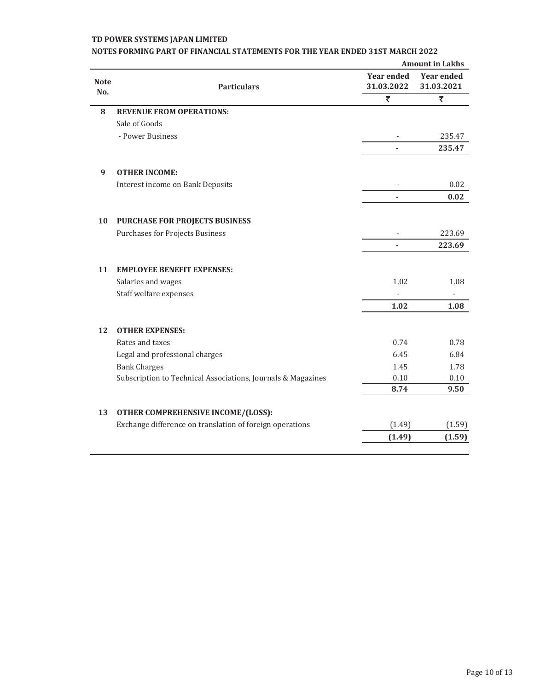|                    |                                                              | <b>Amount in Lakhs</b>          |                                 |  |
|--------------------|--------------------------------------------------------------|---------------------------------|---------------------------------|--|
| <b>Note</b><br>No. | <b>Particulars</b>                                           | <b>Year ended</b><br>31.03.2022 | <b>Year ended</b><br>31.03.2021 |  |
|                    |                                                              | ₹                               | ₹                               |  |
| 8                  | <b>REVENUE FROM OPERATIONS:</b>                              |                                 |                                 |  |
|                    | Sale of Goods                                                |                                 |                                 |  |
|                    | - Power Business                                             |                                 | 235.47                          |  |
|                    |                                                              |                                 | 235.47                          |  |
| 9                  | <b>OTHER INCOME:</b>                                         |                                 |                                 |  |
|                    | Interest income on Bank Deposits                             |                                 | 0.02                            |  |
|                    |                                                              |                                 | 0.02                            |  |
| 10                 | PURCHASE FOR PROJECTS BUSINESS                               |                                 |                                 |  |
|                    | <b>Purchases for Projects Business</b>                       |                                 | 223.69                          |  |
|                    |                                                              | ä,                              | 223.69                          |  |
| 11                 | <b>EMPLOYEE BENEFIT EXPENSES:</b>                            |                                 |                                 |  |
|                    | Salaries and wages                                           | 1.02                            | 1.08                            |  |
|                    | Staff welfare expenses                                       |                                 |                                 |  |
|                    |                                                              | 1.02                            | 1.08                            |  |
| 12                 | <b>OTHER EXPENSES:</b>                                       |                                 |                                 |  |
|                    | Rates and taxes                                              | 0.74                            | 0.78                            |  |
|                    | Legal and professional charges                               | 6.45                            | 6.84                            |  |
|                    | <b>Bank Charges</b>                                          | 1.45                            | 1.78                            |  |
|                    | Subscription to Technical Associations, Journals & Magazines | 0.10                            | 0.10                            |  |
|                    |                                                              | 8.74                            | 9.50                            |  |
| 13                 | OTHER COMPREHENSIVE INCOME/(LOSS):                           |                                 |                                 |  |
|                    | Exchange difference on translation of foreign operations     | (1.49)                          | (1.59)                          |  |
|                    |                                                              | (1.49)                          | (1.59)                          |  |
|                    |                                                              |                                 |                                 |  |

## **NOTES FORMING PART OF FINANCIAL STATEMENTS FOR THE YEAR ENDED 31ST MARCH 2022**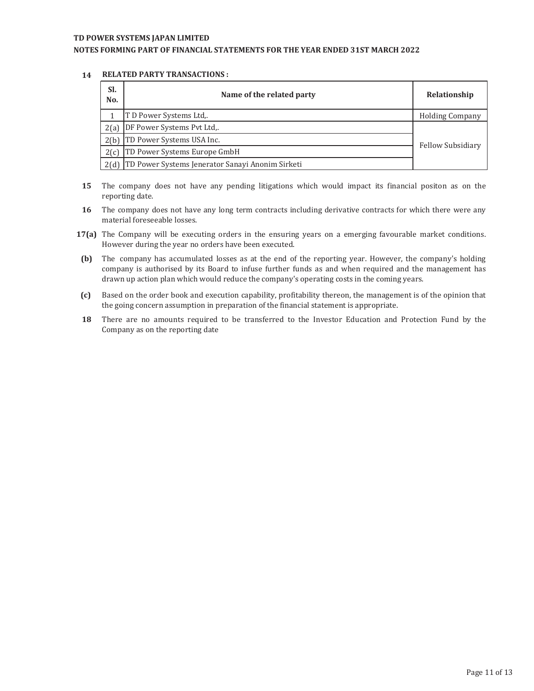### **NOTES FORMING PART OF FINANCIAL STATEMENTS FOR THE YEAR ENDED 31ST MARCH 2022**

#### **14 RELATED PARTY TRANSACTIONS :**

| SI.<br>No. | Name of the related party                             | Relationship           |  |  |  |
|------------|-------------------------------------------------------|------------------------|--|--|--|
|            | T D Power Systems Ltd                                 | <b>Holding Company</b> |  |  |  |
| 2(a)       | DF Power Systems Pvt Ltd,.                            |                        |  |  |  |
|            | 2(b) TD Power Systems USA Inc.                        | Fellow Subsidiary      |  |  |  |
| 2(c)       | TD Power Systems Europe GmbH                          |                        |  |  |  |
|            | 2(d) TD Power Systems Jenerator Sanayi Anonim Sirketi |                        |  |  |  |

- **15** The company does not have any pending litigations which would impact its financial positon as on the reporting date.
- **16** The company does not have any long term contracts including derivative contracts for which there were any material foreseeable losses.
- **17(a)** The Company will be executing orders in the ensuring years on a emerging favourable market conditions. However during the year no orders have been executed.
- **(b)** The company has accumulated losses as at the end of the reporting year. However, the company's holding company is authorised by its Board to infuse further funds as and when required and the management has drawn up action plan which would reduce the company's operating costs in the coming years.
- **(c)**  Based on the order book and execution capability, profitability thereon, the management is of the opinion that the going concern assumption in preparation of the financial statement is appropriate.
- **18** There are no amounts required to be transferred to the Investor Education and Protection Fund by the Company as on the reporting date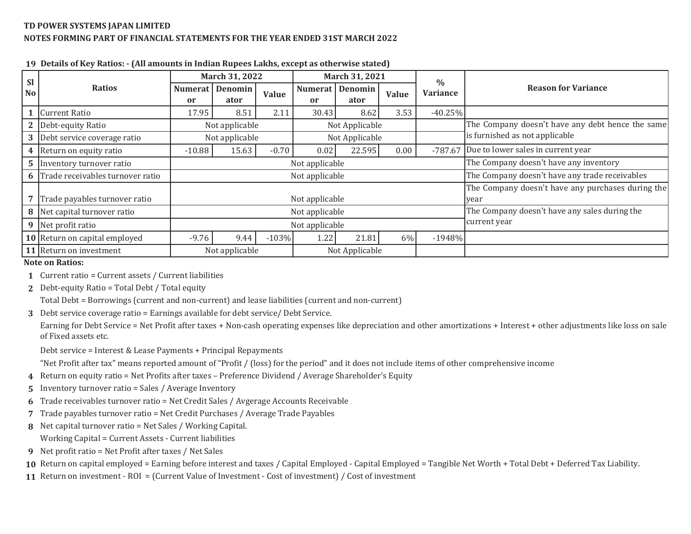## **TD POWER SYSTEMS JAPAN LIMITEDNOTES FORMING PART OF FINANCIAL STATEMENTS FOR THE YEAR ENDED 31ST MARCH 2022**

| <b>Sl</b>      |                                  | March 31, 2022 |                                  | March 31, 2021 |                |                                                  | $\frac{0}{0}$                                     |                                |                                            |
|----------------|----------------------------------|----------------|----------------------------------|----------------|----------------|--------------------------------------------------|---------------------------------------------------|--------------------------------|--------------------------------------------|
| <b>No</b>      | <b>Ratios</b>                    | Numerat I      | Denomin                          | Value          | <b>Numerat</b> | Denomin                                          | Value                                             | <b>Variance</b>                | <b>Reason for Variance</b>                 |
|                |                                  | <sub>or</sub>  | ator                             |                | <sub>or</sub>  | ator                                             |                                                   |                                |                                            |
|                | <b>Current Ratio</b>             | 17.95          | 8.51                             | 2.11           | 30.43          | 8.62                                             | 3.53                                              | $-40.25%$                      |                                            |
|                | Debt-equity Ratio                |                | Not applicable<br>Not Applicable |                |                | The Company doesn't have any debt hence the same |                                                   |                                |                                            |
| 3              | Debt service coverage ratio      |                | Not applicable                   |                | Not Applicable |                                                  |                                                   | is furnished as not applicable |                                            |
|                | 4 Return on equity ratio         | $-10.88$       | 15.63                            | $-0.70$        | 0.02           | 22.595                                           | 0.00                                              |                                | -787.67 Due to lower sales in current year |
| 5 <sub>1</sub> | Inventory turnover ratio         | Not applicable |                                  |                |                |                                                  | The Company doesn't have any inventory            |                                |                                            |
| 6              | Trade receivables turnover ratio | Not applicable |                                  |                |                | The Company doesn't have any trade receivables   |                                                   |                                |                                            |
|                |                                  |                |                                  |                |                |                                                  | The Company doesn't have any purchases during the |                                |                                            |
|                | Trade payables turnover ratio    | Not applicable |                                  |                |                |                                                  | year                                              |                                |                                            |
| 8 I            | Net capital turnover ratio       | Not applicable |                                  |                |                |                                                  | The Company doesn't have any sales during the     |                                |                                            |
|                | 9 Net profit ratio               | Not applicable |                                  |                | current year   |                                                  |                                                   |                                |                                            |
|                | 10 Return on capital employed    | $-9.76$        | 9.44                             | $-103%$        | 1.22           | 21.81                                            | 6%                                                | $-1948%$                       |                                            |
|                | 11 Return on investment          |                | Not applicable                   |                |                | Not Applicable                                   |                                                   |                                |                                            |

**19 Details of Key Ratios: - (All amounts in Indian Rupees Lakhs, except as otherwise stated)**

#### **Note on Ratios:**

- **1** Current ratio = Current assets / Current liabilities
- **2** Debt-equity Ratio = Total Debt / Total equity

Total Debt = Borrowings (current and non-current) and lease liabilities (current and non-current)

**3** Debt service coverage ratio = Earnings available for debt service/ Debt Service.

Earning for Debt Service <sup>=</sup> Net Profit after taxes <sup>+</sup> Non-cash operating expenses like depreciation and other amortizations <sup>+</sup> Interest <sup>+</sup> other adjustments like loss on sale of Fixed assets etc.

Debt service = Interest & Lease Payments + Principal Repayments

"Net Profit after tax" means reported amount of "Profit / (loss) for the period" and it does not include items of other comprehensive income

- **4** Return on equity ratio = Net Profits after taxes Preference Dividend / Average Shareholder's Equity
- **5** Inventory turnover ratio = Sales / Average Inventory
- **6** Trade receivables turnover ratio = Net Credit Sales / Avgerage Accounts Receivable
- **7** Trade payables turnover ratio = Net Credit Purchases / Average Trade Payables
- **8** Net capital turnover ratio = Net Sales / Working Capital.

Working Capital = Current Assets - Current liabilities

**9** Net profit ratio = Net Profit after taxes / Net Sales

 ${\bf 10}$  Return on capital employed = Earning before interest and taxes / Capital Employed - Capital Employed = Tangible Net Worth + Total Debt + Deferred Tax Liability.

**11** Return on investment - ROI = (Current Value of Investment - Cost of investment) / Cost of investment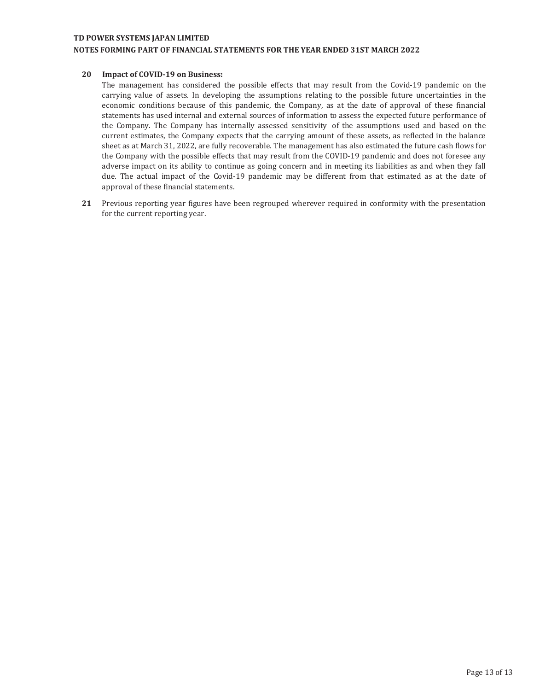#### **NOTES FORMING PART OF FINANCIAL STATEMENTS FOR THE YEAR ENDED 31ST MARCH 2022**

#### **20 Impact of COVID-19 on Business:**

The management has considered the possible effects that may result from the Covid-19 pandemic on the carrying value of assets. In developing the assumptions relating to the possible future uncertainties in the economic conditions because of this pandemic, the Company, as at the date of approval of these financial statements has used internal and external sources of information to assess the expected future performance of the Company. The Company has internally assessed sensitivity of the assumptions used and based on the current estimates, the Company expects that the carrying amount of these assets, as reflected in the balance sheet as at March 31, 2022, are fully recoverable. The management has also estimated the future cash flows for the Company with the possible effects that may result from the COVID-19 pandemic and does not foresee any adverse impact on its ability to continue as going concern and in meeting its liabilities as and when they fall due. The actual impact of the Covid-19 pandemic may be different from that estimated as at the date of approval of these financial statements.

**21** Previous reporting year figures have been regrouped wherever required in conformity with the presentation for the current reporting year.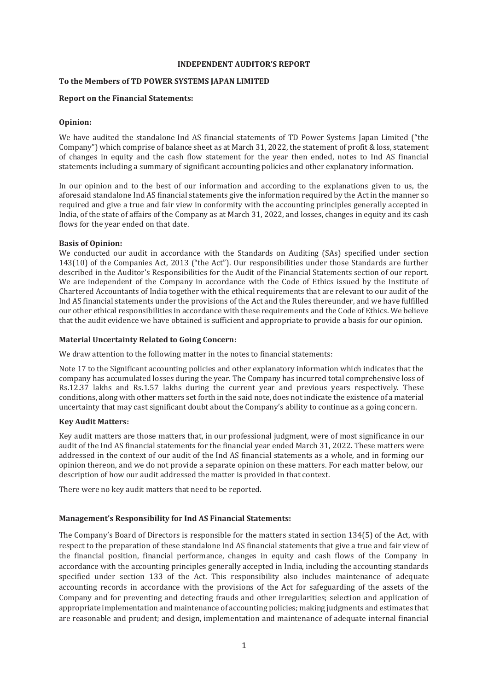#### **INDEPENDENT AUDITOR'S REPORT**

### **To the Members of TD POWER SYSTEMS JAPAN LIMITED**

#### **Report on the Financial Statements:**

#### **Opinion:**

We have audited the standalone Ind AS financial statements of TD Power Systems Japan Limited ("the Company") which comprise of balance sheet as at March 31, 2022, the statement of profit & loss, statement of changes in equity and the cash flow statement for the year then ended, notes to Ind AS financial statements including a summary of significant accounting policies and other explanatory information.

In our opinion and to the best of our information and according to the explanations given to us, the aforesaid standalone Ind AS financial statements give the information required by the Act in the manner so required and give a true and fair view in conformity with the accounting principles generally accepted in India, of the state of affairs of the Company as at March 31, 2022, and losses, changes in equity and its cash flows for the year ended on that date.

#### **Basis of Opinion:**

We conducted our audit in accordance with the Standards on Auditing (SAs) specified under section 143(10) of the Companies Act, 2013 ("the Act"). Our responsibilities under those Standards are further described in the Auditor's Responsibilities for the Audit of the Financial Statements section of our report. We are independent of the Company in accordance with the Code of Ethics issued by the Institute of Chartered Accountants of India together with the ethical requirements that are relevant to our audit of the Ind AS financial statements under the provisions of the Act and the Rules thereunder, and we have fulfilled our other ethical responsibilities in accordance with these requirements and the Code of Ethics. We believe that the audit evidence we have obtained is sufficient and appropriate to provide a basis for our opinion.

#### **Material Uncertainty Related to Going Concern:**

We draw attention to the following matter in the notes to financial statements:

Note 17 to the Significant accounting policies and other explanatory information which indicates that the company has accumulated losses during the year. The Company has incurred total comprehensive loss of Rs.12.37 lakhs and Rs.1.57 lakhs during the current year and previous years respectively. These conditions, along with other matters set forth in the said note, does not indicate the existence of a material uncertainty that may cast significant doubt about the Company's ability to continue as a going concern.

### **Key Audit Matters:**

Key audit matters are those matters that, in our professional judgment, were of most significance in our audit of the Ind AS financial statements for the financial year ended March 31, 2022. These matters were addressed in the context of our audit of the Ind AS financial statements as a whole, and in forming our opinion thereon, and we do not provide a separate opinion on these matters. For each matter below, our description of how our audit addressed the matter is provided in that context.

There were no key audit matters that need to be reported.

### **Management's Responsibility for Ind AS Financial Statements:**

The Company's Board of Directors is responsible for the matters stated in section 134(5) of the Act, with respect to the preparation of these standalone Ind AS financial statements that give a true and fair view of the financial position, financial performance, changes in equity and cash flows of the Company in accordance with the accounting principles generally accepted in India, including the accounting standards specified under section 133 of the Act. This responsibility also includes maintenance of adequate accounting records in accordance with the provisions of the Act for safeguarding of the assets of the Company and for preventing and detecting frauds and other irregularities; selection and application of appropriate implementation and maintenance of accounting policies; making judgments and estimates that are reasonable and prudent; and design, implementation and maintenance of adequate internal financial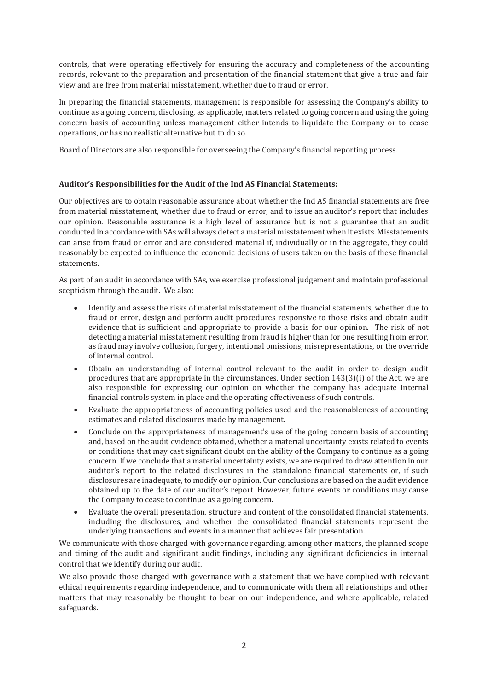controls, that were operating effectively for ensuring the accuracy and completeness of the accounting records, relevant to the preparation and presentation of the financial statement that give a true and fair view and are free from material misstatement, whether due to fraud or error.

In preparing the financial statements, management is responsible for assessing the Company's ability to continue as a going concern, disclosing, as applicable, matters related to going concern and using the going concern basis of accounting unless management either intends to liquidate the Company or to cease operations, or has no realistic alternative but to do so.

Board of Directors are also responsible for overseeing the Company's financial reporting process.

### **Auditor's Responsibilities for the Audit of the Ind AS Financial Statements:**

Our objectives are to obtain reasonable assurance about whether the Ind AS financial statements are free from material misstatement, whether due to fraud or error, and to issue an auditor's report that includes our opinion. Reasonable assurance is a high level of assurance but is not a guarantee that an audit conducted in accordance with SAs will always detect a material misstatement when it exists. Misstatements can arise from fraud or error and are considered material if, individually or in the aggregate, they could reasonably be expected to influence the economic decisions of users taken on the basis of these financial statements.

As part of an audit in accordance with SAs, we exercise professional judgement and maintain professional scepticism through the audit. We also:

- Identify and assess the risks of material misstatement of the financial statements, whether due to fraud or error, design and perform audit procedures responsive to those risks and obtain audit evidence that is sufficient and appropriate to provide a basis for our opinion. The risk of not detecting a material misstatement resulting from fraud is higher than for one resulting from error, as fraud may involve collusion, forgery, intentional omissions, misrepresentations, or the override of internal control.
- · Obtain an understanding of internal control relevant to the audit in order to design audit procedures that are appropriate in the circumstances. Under section 143(3)(i) of the Act, we are also responsible for expressing our opinion on whether the company has adequate internal financial controls system in place and the operating effectiveness of such controls.
- · Evaluate the appropriateness of accounting policies used and the reasonableness of accounting estimates and related disclosures made by management.
- Conclude on the appropriateness of management's use of the going concern basis of accounting and, based on the audit evidence obtained, whether a material uncertainty exists related to events or conditions that may cast significant doubt on the ability of the Company to continue as a going concern. If we conclude that a material uncertainty exists, we are required to draw attention in our auditor's report to the related disclosures in the standalone financial statements or, if such disclosures are inadequate, to modify our opinion. Our conclusions are based on the audit evidence obtained up to the date of our auditor's report. However, future events or conditions may cause the Company to cease to continue as a going concern.
- · Evaluate the overall presentation, structure and content of the consolidated financial statements, including the disclosures, and whether the consolidated financial statements represent the underlying transactions and events in a manner that achieves fair presentation.

We communicate with those charged with governance regarding, among other matters, the planned scope and timing of the audit and significant audit findings, including any significant deficiencies in internal control that we identify during our audit.

We also provide those charged with governance with a statement that we have complied with relevant ethical requirements regarding independence, and to communicate with them all relationships and other matters that may reasonably be thought to bear on our independence, and where applicable, related safeguards.